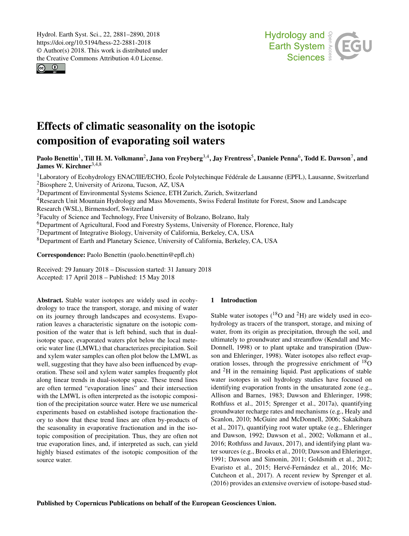<span id="page-0-1"></span>Hydrol. Earth Syst. Sci., 22, 2881–2890, 2018 https://doi.org/10.5194/hess-22-2881-2018 © Author(s) 2018. This work is distributed under the Creative Commons Attribution 4.0 License.

 $\circledcirc$ 



# Effects of climatic seasonality on the isotopic composition of evaporating soil waters

Paolo Benettin<sup>[1](#page-0-0)</sup>, Till H. M. Volkmann<sup>[2](#page-0-0)</sup>, Jana von Freyberg<sup>[3,4](#page-0-0)</sup>, Jay Frentress<sup>[5](#page-0-0)</sup>, Daniele Penna<sup>[6](#page-0-0)</sup>, Todd E. Dawson<sup>[7](#page-0-0)</sup>, and James W. Kirchner<sup>[3,4,8](#page-0-0)</sup>

<sup>1</sup>Laboratory of Ecohydrology ENAC/IIE/ECHO, École Polytechinque Fédérale de Lausanne (EPFL), Lausanne, Switzerland <sup>2</sup>Biosphere 2, University of Arizona, Tucson, AZ, USA

<sup>3</sup>Department of Environmental Systems Science, ETH Zurich, Zurich, Switzerland

<sup>4</sup>Research Unit Mountain Hydrology and Mass Movements, Swiss Federal Institute for Forest, Snow and Landscape

Research (WSL), Birmensdorf, Switzerland

<sup>5</sup>Faculty of Science and Technology, Free University of Bolzano, Bolzano, Italy

<sup>6</sup>Department of Agricultural, Food and Forestry Systems, University of Florence, Florence, Italy

<sup>7</sup>Department of Integrative Biology, University of California, Berkeley, CA, USA

<sup>8</sup>Department of Earth and Planetary Science, University of California, Berkeley, CA, USA

Correspondence: Paolo Benettin (paolo.benettin@epfl.ch)

Received: 29 January 2018 – Discussion started: 31 January 2018 Accepted: 17 April 2018 – Published: 15 May 2018

<span id="page-0-0"></span>Abstract. Stable water isotopes are widely used in ecohydrology to trace the transport, storage, and mixing of water on its journey through landscapes and ecosystems. Evaporation leaves a characteristic signature on the isotopic composition of the water that is left behind, such that in dualisotope space, evaporated waters plot below the local meteoric water line (LMWL) that characterizes precipitation. Soil and xylem water samples can often plot below the LMWL as well, suggesting that they have also been influenced by evaporation. These soil and xylem water samples frequently plot along linear trends in dual-isotope space. These trend lines are often termed "evaporation lines" and their intersection with the LMWL is often interpreted as the isotopic composition of the precipitation source water. Here we use numerical experiments based on established isotope fractionation theory to show that these trend lines are often by-products of the seasonality in evaporative fractionation and in the isotopic composition of precipitation. Thus, they are often not true evaporation lines, and, if interpreted as such, can yield highly biased estimates of the isotopic composition of the source water.

# 1 Introduction

Stable water isotopes  $(^{18}O$  and <sup>2</sup>H) are widely used in ecohydrology as tracers of the transport, storage, and mixing of water, from its origin as precipitation, through the soil, and ultimately to groundwater and streamflow [\(Kendall and Mc-](#page-9-0)[Donnell,](#page-9-0) [1998\)](#page-9-0) or to plant uptake and transpiration [\(Daw](#page-8-0)[son and Ehleringer,](#page-8-0) [1998\)](#page-8-0). Water isotopes also reflect evaporation losses, through the progressive enrichment of  $^{18}$ O and  ${}^{2}H$  in the remaining liquid. Past applications of stable water isotopes in soil hydrology studies have focused on identifying evaporation fronts in the unsaturated zone (e.g., [Allison and Barnes,](#page-8-1) [1983;](#page-8-1) [Dawson and Ehleringer,](#page-8-0) [1998;](#page-8-0) [Rothfuss et al.,](#page-9-1) [2015;](#page-9-1) [Sprenger et al.,](#page-9-2) [2017a\)](#page-9-2), quantifying groundwater recharge rates and mechanisms (e.g., [Healy and](#page-8-2) [Scanlon,](#page-8-2) [2010;](#page-8-2) [McGuire and McDonnell,](#page-9-3) [2006;](#page-9-3) [Sakakibara](#page-9-4) [et al.,](#page-9-4) [2017\)](#page-9-4), quantifying root water uptake (e.g., [Ehleringer](#page-8-3) [and Dawson,](#page-8-3) [1992;](#page-8-3) [Dawson et al.,](#page-8-4) [2002;](#page-8-4) [Volkmann et al.,](#page-9-5) [2016;](#page-9-5) [Rothfuss and Javaux,](#page-9-6) [2017\)](#page-9-6), and identifying plant water sources (e.g., [Brooks et al.,](#page-8-5) [2010;](#page-8-5) [Dawson and Ehleringer,](#page-8-6) [1991;](#page-8-6) [Dawson and Simonin,](#page-8-7) [2011;](#page-8-7) [Goldsmith et al.,](#page-8-8) [2012;](#page-8-8) [Evaristo et al.,](#page-8-9) [2015;](#page-8-9) [Hervé-Fernández et al.,](#page-8-10) [2016;](#page-8-10) [Mc-](#page-9-7)[Cutcheon et al.,](#page-9-7) [2017\)](#page-9-7). A recent review by [Sprenger et al.](#page-9-8) [\(2016\)](#page-9-8) provides an extensive overview of isotope-based stud-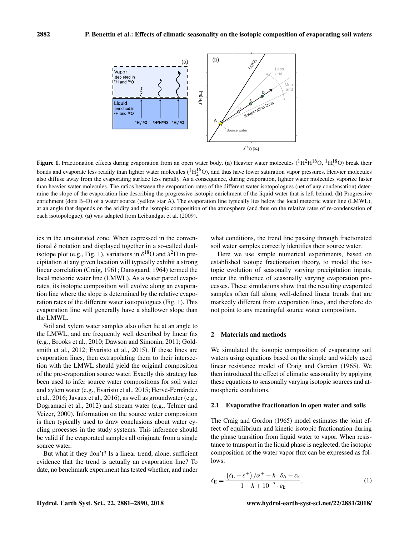<span id="page-1-0"></span>

**Figure 1.** Fractionation effects during evaporation from an open water body. (a) Heavier water molecules  $({}^{1}H^{2}H^{16}O, {}^{1}H^{18}_{2}O)$  break their bonds and evaporate less readily than lighter water molecules  $({}^1H_2^{16}O)$ , and thus have lower saturation vapor pressures. Heavier molecules bonds and evaporate less readily than lighter water molecules ( $T_2$  O), and thus have lower saturation vapor pressures. Freaver molecules vaporize faster than heavier water molecules. The ratios between the evaporation rates of the different water isotopologues (net of any condensation) determine the slope of the evaporation line describing the progressive isotopic enrichment of the liquid water that is left behind. (b) Progressive enrichment (dots B–D) of a water source (yellow star A). The evaporation line typically lies below the local meteoric water line (LMWL), at an angle that depends on the aridity and the isotopic composition of the atmosphere (and thus on the relative rates of re-condensation of each isotopologue). (a) was adapted from [Leibundgut et al.](#page-9-9) [\(2009\)](#page-9-9).

ies in the unsaturated zone. When expressed in the conventional  $\delta$  notation and displayed together in a so-called dual-isotope plot (e.g., Fig. [1\)](#page-1-0), variations in  $\delta^{18}$ O and  $\delta^2$ H in precipitation at any given location will typically exhibit a strong linear correlation [\(Craig,](#page-8-11) [1961;](#page-8-11) [Dansgaard,](#page-8-12) [1964\)](#page-8-12) termed the local meteoric water line (LMWL). As a water parcel evaporates, its isotopic composition will evolve along an evaporation line where the slope is determined by the relative evaporation rates of the different water isotopologues (Fig. [1\)](#page-1-0). This evaporation line will generally have a shallower slope than the LMWL.

Soil and xylem water samples also often lie at an angle to the LMWL, and are frequently well described by linear fits (e.g., [Brooks et al.,](#page-8-5) [2010;](#page-8-5) [Dawson and Simonin,](#page-8-7) [2011;](#page-8-7) [Gold](#page-8-8)[smith et al.,](#page-8-8) [2012;](#page-8-8) [Evaristo et al.,](#page-8-9) [2015\)](#page-8-9). If these lines are evaporation lines, then extrapolating them to their intersection with the LMWL should yield the original composition of the pre-evaporation source water. Exactly this strategy has been used to infer source water compositions for soil water and xylem water (e.g., [Evaristo et al.,](#page-8-9) [2015;](#page-8-9) [Hervé-Fernández](#page-8-10) [et al.,](#page-8-10) [2016;](#page-8-10) [Javaux et al.,](#page-9-10) [2016\)](#page-9-10), as well as groundwater (e.g., [Dogramaci et al.,](#page-8-13) [2012\)](#page-8-13) and stream water (e.g., [Telmer and](#page-9-11) [Veizer,](#page-9-11) [2000\)](#page-9-11). Information on the source water composition is then typically used to draw conclusions about water cycling processes in the study systems. This inference should be valid if the evaporated samples all originate from a single source water.

But what if they don't? Is a linear trend, alone, sufficient evidence that the trend is actually an evaporation line? To date, no benchmark experiment has tested whether, and under

what conditions, the trend line passing through fractionated soil water samples correctly identifies their source water.

Here we use simple numerical experiments, based on established isotope fractionation theory, to model the isotopic evolution of seasonally varying precipitation inputs, under the influence of seasonally varying evaporation processes. These simulations show that the resulting evaporated samples often fall along well-defined linear trends that are markedly different from evaporation lines, and therefore do not point to any meaningful source water composition.

# <span id="page-1-2"></span>2 Materials and methods

We simulated the isotopic composition of evaporating soil waters using equations based on the simple and widely used linear resistance model of [Craig and Gordon](#page-8-14) [\(1965\)](#page-8-14). We then introduced the effect of climatic seasonality by applying these equations to seasonally varying isotopic sources and atmospheric conditions.

## 2.1 Evaporative fractionation in open water and soils

The [Craig and Gordon](#page-8-14) [\(1965\)](#page-8-14) model estimates the joint effect of equilibrium and kinetic isotopic fractionation during the phase transition from liquid water to vapor. When resistance to transport in the liquid phase is neglected, the isotopic composition of the water vapor flux can be expressed as follows:

<span id="page-1-1"></span>
$$
\delta_{\rm E} = \frac{\left(\delta_{\rm L} - \varepsilon^{+}\right)/\alpha^{+} - h \cdot \delta_{\rm A} - \varepsilon_{\rm k}}{1 - h + 10^{-3} \cdot \varepsilon_{\rm k}},\tag{1}
$$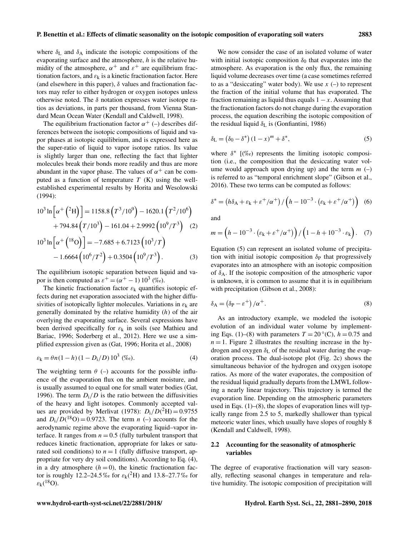where  $\delta_{\rm L}$  and  $\delta_{\rm A}$  indicate the isotopic compositions of the evaporating surface and the atmosphere,  $h$  is the relative humidity of the atmosphere,  $\alpha^+$  and  $\varepsilon^+$  are equilibrium fractionation factors, and  $\varepsilon_k$  is a kinetic fractionation factor. Here (and elsewhere in this paper),  $\delta$  values and fractionation factors may refer to either hydrogen or oxygen isotopes unless otherwise noted. The  $\delta$  notation expresses water isotope ratios as deviations, in parts per thousand, from Vienna Standard Mean Ocean Water [\(Kendall and Caldwell,](#page-9-12) [1998\)](#page-9-12).

The equilibrium fractionation factor  $\alpha^+$  (-) describes differences between the isotopic compositions of liquid and vapor phases at isotopic equilibrium, and is expressed here as the super-ratio of liquid to vapor isotope ratios. Its value is slightly larger than one, reflecting the fact that lighter molecules break their bonds more readily and thus are more abundant in the vapor phase. The values of  $\alpha^+$  can be computed as a function of temperature  $T(K)$  using the wellestablished experimental results by [Horita and Wesolowski](#page-9-13) [\(1994\)](#page-9-13):

$$
10^3 \ln \left[ \alpha^+ \binom{2\mathrm{H}}{2} \right] = 1158.8 \left( T^3 / 10^9 \right) - 1620.1 \left( T^2 / 10^6 \right) + 794.84 \left( T / 10^3 \right) - 161.04 + 2.9992 \left( 10^9 / T^3 \right) (2) 10^3 \ln \left[ \alpha^+ \binom{18}{3} \right] = -7.685 + 6.7123 \left( 10^3 / T \right) - 1.6664 \left( 10^6 / T^2 \right) + 0.3504 \left( 10^9 / T^3 \right). (3)
$$

The equilibrium isotopic separation between liquid and vapor is then computed as  $\varepsilon^+ = (\alpha^+ - 1) 10^3$  (%o).

The kinetic fractionation factor  $\varepsilon_k$  quantifies isotopic effects during net evaporation associated with the higher diffusivities of isotopically lighter molecules. Variations in  $\varepsilon_k$  are generally dominated by the relative humidity  $(h)$  of the air overlying the evaporating surface. Several expressions have been derived specifically for  $\varepsilon_k$  in soils (see [Mathieu and](#page-9-14) [Bariac,](#page-9-14) [1996;](#page-9-14) [Soderberg et al.,](#page-9-15) [2012\)](#page-9-15). Here we use a simplified expression given as [\(Gat,](#page-8-15) [1996;](#page-8-15) [Horita et al.,](#page-9-16) [2008\)](#page-9-16)

$$
\varepsilon_{k} = \theta n (1 - h) (1 - D_{i}/D) 10^{3} \, (\%_{o}). \tag{4}
$$

The weighting term  $\theta$  (–) accounts for the possible influence of the evaporation flux on the ambient moisture, and is usually assumed to equal one for small water bodies [\(Gat,](#page-8-15) [1996\)](#page-8-15). The term  $D_i/D$  is the ratio between the diffusivities of the heavy and light isotopes. Commonly accepted val-ues are provided by [Merlivat](#page-9-17) [\(1978\)](#page-9-17):  $D_i/D(^2H) = 0.9755$ and  $D_i/D({}^{18}O) = 0.9723$ . The term  $n(-)$  accounts for the aerodynamic regime above the evaporating liquid–vapor interface. It ranges from  $n = 0.5$  (fully turbulent transport that reduces kinetic fractionation, appropriate for lakes or saturated soil conditions) to  $n = 1$  (fully diffusive transport, appropriate for very dry soil conditions). According to Eq. [\(4\)](#page-2-0), in a dry atmosphere  $(h = 0)$ , the kinetic fractionation factor is roughly 12.2–24.5% for  $\varepsilon_k$ (<sup>2</sup>H) and 13.8–27.7% for  $\varepsilon_{\rm k}({}^{18}{\rm O}).$ 

We now consider the case of an isolated volume of water with initial isotopic composition  $\delta_0$  that evaporates into the atmosphere. As evaporation is the only flux, the remaining liquid volume decreases over time (a case sometimes referred to as a "desiccating" water body). We use  $x$  (–) to represent the fraction of the initial volume that has evaporated. The fraction remaining as liquid thus equals  $1 - x$ . Assuming that the fractionation factors do not change during the evaporation process, the equation describing the isotopic composition of the residual liquid  $\delta$ <sub>L</sub> is [\(Gonfiantini,](#page-8-16) [1986\)](#page-8-16)

<span id="page-2-1"></span>
$$
\delta_{\mathcal{L}} = \left(\delta_0 - \delta^*\right) \left(1 - x\right)^m + \delta^*,\tag{5}
$$

where  $\delta^*$  [(‰) represents the limiting isotopic composition (i.e., the composition that the desiccating water volume would approach upon drying up) and the term  $m(-)$ is referred to as "temporal enrichment slope" [\(Gibson et al.,](#page-8-17) [2016\)](#page-8-17). These two terms can be computed as follows:

$$
\delta^* = \left(h\delta_A + \varepsilon_k + \varepsilon^+/\alpha^+\right) / \left(h - 10^{-3} \cdot \left(\varepsilon_k + \varepsilon^+/\alpha^+\right)\right) \tag{6}
$$

<span id="page-2-3"></span>and

$$
m = \left(h - 10^{-3} \cdot \left(\varepsilon_{k} + \varepsilon^{+}/\alpha^{+}\right)\right) / \left(1 - h + 10^{-3} \cdot \varepsilon_{k}\right). \quad (7)
$$

Equation [\(5\)](#page-2-1) can represent an isolated volume of precipitation with initial isotopic composition  $\delta_P$  that progressively evaporates into an atmosphere with an isotopic composition of  $\delta_A$ . If the isotopic composition of the atmospheric vapor is unknown, it is common to assume that it is in equilibrium with precipitation [\(Gibson et al.,](#page-8-18) [2008\)](#page-8-18):

<span id="page-2-2"></span>
$$
\delta_{\rm A} = \left(\delta_{\rm P} - \varepsilon^+\right) / \alpha^+.\tag{8}
$$

<span id="page-2-0"></span>As an introductory example, we modeled the isotopic evolution of an individual water volume by implement-ing Eqs. [\(1\)](#page-1-1)–[\(8\)](#page-2-2) with parameters  $T = 20^{\circ}$  (C),  $h = 0.75$  and  $n = 1$ . Figure [2](#page-3-0) illustrates the resulting increase in the hydrogen and oxygen  $\delta_{\rm L}$  of the residual water during the evaporation process. The dual-isotope plot (Fig. [2c](#page-3-0)) shows the simultaneous behavior of the hydrogen and oxygen isotope ratios. As more of the water evaporates, the composition of the residual liquid gradually departs from the LMWL following a nearly linear trajectory. This trajectory is termed the evaporation line. Depending on the atmospheric parameters used in Eqs.  $(1)$ – $(8)$ , the slopes of evaporation lines will typically range from 2.5 to 5, markedly shallower than typical meteoric water lines, which usually have slopes of roughly 8 [\(Kendall and Caldwell,](#page-9-12) [1998\)](#page-9-12).

# 2.2 Accounting for the seasonality of atmospheric variables

The degree of evaporative fractionation will vary seasonally, reflecting seasonal changes in temperature and relative humidity. The isotopic composition of precipitation will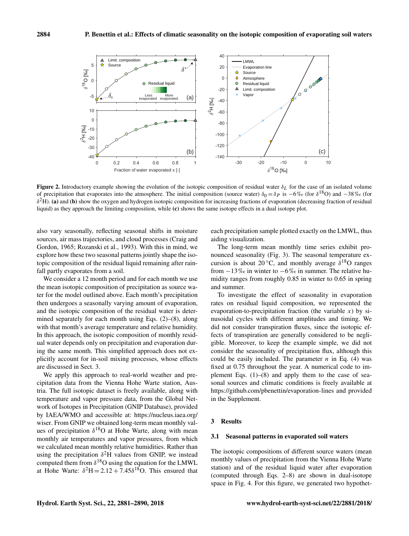<span id="page-3-0"></span>

Figure 2. Introductory example showing the evolution of the isotopic composition of residual water  $\delta_L$  for the case of an isolated volume of precipitation that evaporates into the atmosphere. The initial composition (source water)  $\delta_0 = \delta_P$  is  $-6\%$  (for  $\delta^{18}$ O) and  $-38\%$  (for  $\delta^2$ H). (a) and (b) show the oxygen and hydrogen isotopic composition for increasing fractions of evaporation (decreasing fraction of residual liquid) as they approach the limiting composition, while (c) shows the same isotope effects in a dual isotope plot.

also vary seasonally, reflecting seasonal shifts in moisture sources, air mass trajectories, and cloud processes [\(Craig and](#page-8-14) [Gordon,](#page-8-14) [1965;](#page-8-14) [Rozanski et al.,](#page-9-18) [1993\)](#page-9-18). With this in mind, we explore how these two seasonal patterns jointly shape the isotopic composition of the residual liquid remaining after rainfall partly evaporates from a soil.

We consider a 12 month period and for each month we use the mean isotopic composition of precipitation as source water for the model outlined above. Each month's precipitation then undergoes a seasonally varying amount of evaporation, and the isotopic composition of the residual water is determined separately for each month using Eqs. [\(2\)](#page-2-3)–[\(8\)](#page-2-2), along with that month's average temperature and relative humidity. In this approach, the isotopic composition of monthly residual water depends only on precipitation and evaporation during the same month. This simplified approach does not explicitly account for in-soil mixing processes, whose effects are discussed in Sect. [3.](#page-3-1)

We apply this approach to real-world weather and precipitation data from the Vienna Hohe Warte station, Austria. The full isotopic dataset is freely available, along with temperature and vapor pressure data, from the Global Network of Isotopes in Precipitation (GNIP Database), provided by IAEA/WMO and accessible at: [https://nucleus.iaea.org/](https://nucleus.iaea.org/wiser) [wiser.](https://nucleus.iaea.org/wiser) From GNIP we obtained long-term mean monthly values of precipitation  $\delta^{18}O$  at Hohe Warte, along with mean monthly air temperatures and vapor pressures, from which we calculated mean monthly relative humidities. Rather than using the precipitation  $\delta^2$ H values from GNIP, we instead computed them from  $\delta^{18}$ O using the equation for the LMWL at Hohe Warte:  $\delta^2 H = 2.12 + 7.45 \delta^{18} O$ . This ensured that

each precipitation sample plotted exactly on the LMWL, thus aiding visualization.

The long-term mean monthly time series exhibit pronounced seasonality (Fig. [3\)](#page-4-0). The seasonal temperature excursion is about 20 °C, and monthly average  $\delta^{18}O$  ranges from  $-13\%$  in winter to  $-6\%$  in summer. The relative humidity ranges from roughly 0.85 in winter to 0.65 in spring and summer.

To investigate the effect of seasonality in evaporation rates on residual liquid composition, we represented the evaporation-to-precipitation fraction (the variable  $x$ ) by sinusoidal cycles with different amplitudes and timing. We did not consider transpiration fluxes, since the isotopic effects of transpiration are generally considered to be negligible. Moreover, to keep the example simple, we did not consider the seasonality of precipitation flux, although this could be easily included. The parameter  $n$  in Eq. [\(4\)](#page-2-0) was fixed at 0.75 throughout the year. A numerical code to implement Eqs.  $(1)$ – $(8)$  and apply them to the case of seasonal sources and climatic conditions is freely available at <https://github.com/pbenettin/evaporation-lines> and provided in the Supplement.

#### <span id="page-3-1"></span>3 Results

### 3.1 Seasonal patterns in evaporated soil waters

The isotopic compositions of different source waters (mean monthly values of precipitation from the Vienna Hohe Warte station) and of the residual liquid water after evaporation (computed through Eqs. [2](#page-2-3)[–8\)](#page-2-2) are shown in dual-isotope space in Fig. [4.](#page-5-0) For this figure, we generated two hypothet-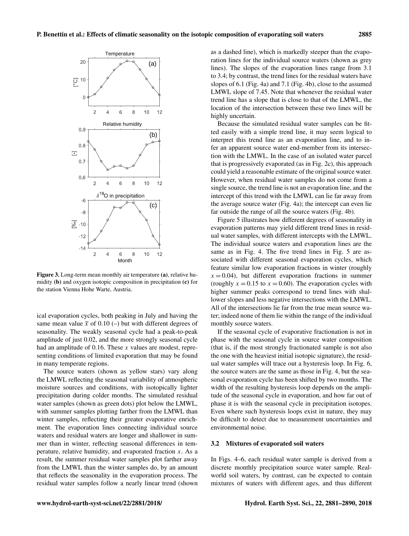<span id="page-4-0"></span>

Figure 3. Long-term mean monthly air temperature (a), relative humidity (b) and oxygen isotopic composition in precipitation (c) for the station Vienna Hohe Warte, Austria.

ical evaporation cycles, both peaking in July and having the same mean value  $\bar{x}$  of 0.10 (–) but with different degrees of seasonality. The weakly seasonal cycle had a peak-to-peak amplitude of just 0.02, and the more strongly seasonal cycle had an amplitude of 0.16. These  $x$  values are modest, representing conditions of limited evaporation that may be found in many temperate regions.

The source waters (shown as yellow stars) vary along the LMWL reflecting the seasonal variability of atmospheric moisture sources and conditions, with isotopically lighter precipitation during colder months. The simulated residual water samples (shown as green dots) plot below the LMWL, with summer samples plotting farther from the LMWL than winter samples, reflecting their greater evaporative enrichment. The evaporation lines connecting individual source waters and residual waters are longer and shallower in summer than in winter, reflecting seasonal differences in temperature, relative humidity, and evaporated fraction  $x$ . As a result, the summer residual water samples plot farther away from the LMWL than the winter samples do, by an amount that reflects the seasonality in the evaporation process. The residual water samples follow a nearly linear trend (shown

as a dashed line), which is markedly steeper than the evaporation lines for the individual source waters (shown as grey lines). The slopes of the evaporation lines range from 3.1 to 3.4; by contrast, the trend lines for the residual waters have slopes of 6.1 (Fig. [4a](#page-5-0)) and 7.1 (Fig. [4b](#page-5-0)), close to the assumed LMWL slope of 7.45. Note that whenever the residual water trend line has a slope that is close to that of the LMWL, the location of the intersection between these two lines will be highly uncertain.

Because the simulated residual water samples can be fitted easily with a simple trend line, it may seem logical to interpret this trend line as an evaporation line, and to infer an apparent source water end-member from its intersection with the LMWL. In the case of an isolated water parcel that is progressively evaporated (as in Fig. [2c](#page-3-0)), this approach could yield a reasonable estimate of the original source water. However, when residual water samples do not come from a single source, the trend line is not an evaporation line, and the intercept of this trend with the LMWL can lie far away from the average source water (Fig. [4a](#page-5-0)); the intercept can even lie far outside the range of all the source waters (Fig. [4b](#page-5-0)).

Figure [5](#page-5-1) illustrates how different degrees of seasonality in evaporation patterns may yield different trend lines in residual water samples, with different intercepts with the LMWL. The individual source waters and evaporation lines are the same as in Fig. [4.](#page-5-0) The five trend lines in Fig. [5](#page-5-1) are associated with different seasonal evaporation cycles, which feature similar low evaporation fractions in winter (roughly  $x = 0.04$ , but different evaporation fractions in summer (roughly  $x = 0.15$  to  $x = 0.60$ ). The evaporation cycles with higher summer peaks correspond to trend lines with shallower slopes and less negative intersections with the LMWL. All of the intersections lie far from the true mean source water; indeed none of them lie within the range of the individual monthly source waters.

If the seasonal cycle of evaporative fractionation is not in phase with the seasonal cycle in source water composition (that is, if the most strongly fractionated sample is not also the one with the heaviest initial isotopic signature), the residual water samples will trace out a hysteresis loop. In Fig. [6,](#page-5-2) the source waters are the same as those in Fig. [4,](#page-5-0) but the seasonal evaporation cycle has been shifted by two months. The width of the resulting hysteresis loop depends on the amplitude of the seasonal cycle in evaporation, and how far out of phase it is with the seasonal cycle in precipitation isotopes. Even where such hysteresis loops exist in nature, they may be difficult to detect due to measurement uncertainties and environmental noise.

#### 3.2 Mixtures of evaporated soil waters

In Figs. [4](#page-5-0)[–6,](#page-5-2) each residual water sample is derived from a discrete monthly precipitation source water sample. Realworld soil waters, by contrast, can be expected to contain mixtures of waters with different ages, and thus different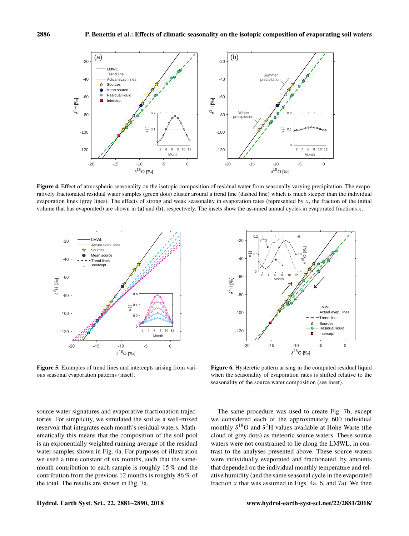<span id="page-5-0"></span>

Figure 4. Effect of atmospheric seasonality on the isotopic composition of residual water from seasonally varying precipitation. The evaporatively fractionated residual water samples (green dots) cluster around a trend line (dashed line) which is much steeper than the individual evaporation lines (grey lines). The effects of strong and weak seasonality in evaporation rates (represented by  $x$ , the fraction of the initial volume that has evaporated) are shown in (a) and (b), respectively. The insets show the assumed annual cycles in evaporated fractions x.

<span id="page-5-1"></span>

Figure 5. Examples of trend lines and intercepts arising from various seasonal evaporation patterns (inset).

source water signatures and evaporative fractionation trajectories. For simplicity, we simulated the soil as a well-mixed reservoir that integrates each month's residual waters. Mathematically this means that the composition of the soil pool is an exponentially weighted running average of the residual water samples shown in Fig. [4a](#page-5-0). For purposes of illustration we used a time constant of six months, such that the samemonth contribution to each sample is roughly 15 % and the contribution from the previous 12 months is roughly 86 % of the total. The results are shown in Fig. [7a](#page-6-0).

<span id="page-5-2"></span>

Figure 6. Hysteretic pattern arising in the computed residual liquid when the seasonality of evaporation rates is shifted relative to the seasonality of the source water composition (see inset).

The same procedure was used to create Fig. [7b](#page-6-0), except we considered each of the approximately 600 individual monthly  $\delta^{18}$ O and  $\delta^2$ H values available at Hohe Warte (the cloud of grey dots) as meteoric source waters. These source waters were not constrained to lie along the LMWL, in contrast to the analyses presented above. These source waters were individually evaporated and fractionated, by amounts that depended on the individual monthly temperature and relative humidity (and the same seasonal cycle in the evaporated fraction  $x$  that was assumed in Figs. [4a](#page-5-0), [6,](#page-5-2) and [7a](#page-6-0)). We then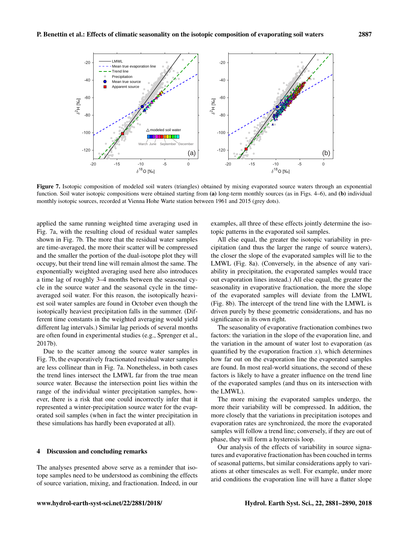<span id="page-6-0"></span>

Figure 7. Isotopic composition of modeled soil waters (triangles) obtained by mixing evaporated source waters through an exponential function. Soil water isotopic compositions were obtained starting from (a) long-term monthly sources (as in Figs. [4–](#page-5-0)[6\)](#page-5-2), and (b) individual monthly isotopic sources, recorded at Vienna Hohe Warte station between 1961 and 2015 (grey dots).

applied the same running weighted time averaging used in Fig. [7a](#page-6-0), with the resulting cloud of residual water samples shown in Fig. [7b](#page-6-0). The more that the residual water samples are time-averaged, the more their scatter will be compressed and the smaller the portion of the dual-isotope plot they will occupy, but their trend line will remain almost the same. The exponentially weighted averaging used here also introduces a time lag of roughly 3–4 months between the seasonal cycle in the source water and the seasonal cycle in the timeaveraged soil water. For this reason, the isotopically heaviest soil water samples are found in October even though the isotopically heaviest precipitation falls in the summer. (Different time constants in the weighted averaging would yield different lag intervals.) Similar lag periods of several months are often found in experimental studies (e.g., [Sprenger et al.,](#page-9-19) [2017b\)](#page-9-19).

Due to the scatter among the source water samples in Fig. [7b](#page-6-0), the evaporatively fractionated residual water samples are less collinear than in Fig. [7a](#page-6-0). Nonetheless, in both cases the trend lines intersect the LMWL far from the true mean source water. Because the intersection point lies within the range of the individual winter precipitation samples, however, there is a risk that one could incorrectly infer that it represented a winter-precipitation source water for the evaporated soil samples (when in fact the winter precipitation in these simulations has hardly been evaporated at all).

# 4 Discussion and concluding remarks

The analyses presented above serve as a reminder that isotope samples need to be understood as combining the effects of source variation, mixing, and fractionation. Indeed, in our examples, all three of these effects jointly determine the isotopic patterns in the evaporated soil samples.

All else equal, the greater the isotopic variability in precipitation (and thus the larger the range of source waters), the closer the slope of the evaporated samples will lie to the LMWL (Fig. [8a](#page-7-0)). (Conversely, in the absence of any variability in precipitation, the evaporated samples would trace out evaporation lines instead.) All else equal, the greater the seasonality in evaporative fractionation, the more the slope of the evaporated samples will deviate from the LMWL (Fig. [8b](#page-7-0)). The intercept of the trend line with the LMWL is driven purely by these geometric considerations, and has no significance in its own right.

The seasonality of evaporative fractionation combines two factors: the variation in the slope of the evaporation line, and the variation in the amount of water lost to evaporation (as quantified by the evaporation fraction  $x$ ), which determines how far out on the evaporation line the evaporated samples are found. In most real-world situations, the second of these factors is likely to have a greater influence on the trend line of the evaporated samples (and thus on its intersection with the LMWL).

The more mixing the evaporated samples undergo, the more their variability will be compressed. In addition, the more closely that the variations in precipitation isotopes and evaporation rates are synchronized, the more the evaporated samples will follow a trend line; conversely, if they are out of phase, they will form a hysteresis loop.

Our analysis of the effects of variability in source signatures and evaporative fractionation has been couched in terms of seasonal patterns, but similar considerations apply to variations at other timescales as well. For example, under more arid conditions the evaporation line will have a flatter slope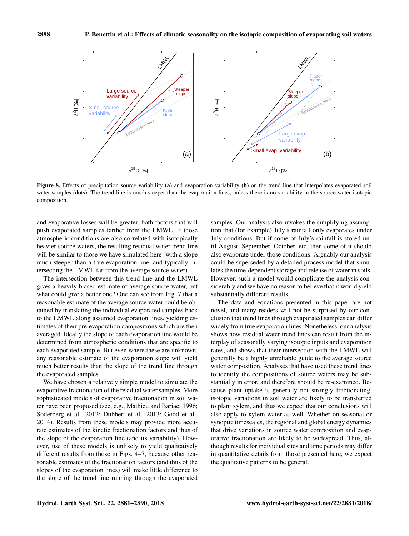<span id="page-7-0"></span>

Figure 8. Effects of precipitation source variability (a) and evaporation variability (b) on the trend line that interpolates evaporated soil water samples (dots). The trend line is much steeper than the evaporation lines, unless there is no variability in the source water isotopic composition.

and evaporative losses will be greater, both factors that will push evaporated samples farther from the LMWL. If those atmospheric conditions are also correlated with isotopically heavier source waters, the resulting residual water trend line will be similar to those we have simulated here (with a slope much steeper than a true evaporation line, and typically intersecting the LMWL far from the average source water).

The intersection between this trend line and the LMWL gives a heavily biased estimate of average source water, but what could give a better one? One can see from Fig. [7](#page-6-0) that a reasonable estimate of the average source water could be obtained by translating the individual evaporated samples back to the LMWL along assumed evaporation lines, yielding estimates of their pre-evaporation compositions which are then averaged. Ideally the slope of each evaporation line would be determined from atmospheric conditions that are specific to each evaporated sample. But even where these are unknown, any reasonable estimate of the evaporation slope will yield much better results than the slope of the trend line through the evaporated samples.

We have chosen a relatively simple model to simulate the evaporative fractionation of the residual water samples. More sophisticated models of evaporative fractionation in soil water have been proposed (see, e.g., [Mathieu and Bariac,](#page-9-14) [1996;](#page-9-14) [Soderberg et al.,](#page-9-15) [2012;](#page-9-15) [Dubbert et al.,](#page-8-19) [2013;](#page-8-19) [Good et al.,](#page-8-20) [2014\)](#page-8-20). Results from these models may provide more accurate estimates of the kinetic fractionation factors and thus of the slope of the evaporation line (and its variability). However, use of these models is unlikely to yield qualitatively different results from those in Figs. [4](#page-5-0)[–7,](#page-6-0) because other reasonable estimates of the fractionation factors (and thus of the slopes of the evaporation lines) will make little difference to the slope of the trend line running through the evaporated samples. Our analysis also invokes the simplifying assumption that (for example) July's rainfall only evaporates under July conditions. But if some of July's rainfall is stored until August, September, October, etc. then some of it should also evaporate under those conditions. Arguably our analysis could be superseded by a detailed process model that simulates the time-dependent storage and release of water in soils. However, such a model would complicate the analysis considerably and we have no reason to believe that it would yield substantially different results.

The data and equations presented in this paper are not novel, and many readers will not be surprised by our conclusion that trend lines through evaporated samples can differ widely from true evaporation lines. Nonetheless, our analysis shows how residual water trend lines can result from the interplay of seasonally varying isotopic inputs and evaporation rates, and shows that their intersection with the LMWL will generally be a highly unreliable guide to the average source water composition. Analyses that have used these trend lines to identify the compositions of source waters may be substantially in error, and therefore should be re-examined. Because plant uptake is generally not strongly fractionating, isotopic variations in soil water are likely to be transferred to plant xylem, and thus we expect that our conclusions will also apply to xylem water as well. Whether on seasonal or synoptic timescales, the regional and global energy dynamics that drive variations in source water composition and evaporative fractionation are likely to be widespread. Thus, although results for individual sites and time periods may differ in quantitative details from those presented here, we expect the qualitative patterns to be general.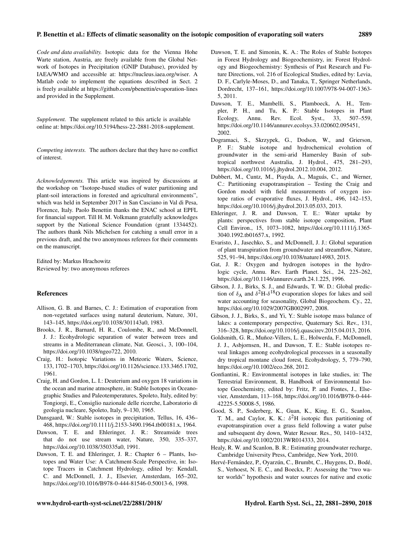*Code and data availability.* Isotopic data for the Vienna Hohe Warte station, Austria, are freely available from the Global Network of Isotopes in Precipitation (GNIP Database), provided by IAEA/WMO and accessible at: [https://nucleus.iaea.org/wiser.](https://nucleus.iaea.org/wiser) A Matlab code to implement the equations described in Sect. [2](#page-1-2) is freely available at <https://github.com/pbenettin/evaporation-lines> and provided in the Supplement.

*Supplement.* The supplement related to this article is available online at: [https://doi.org/10.5194/hess-22-2881-2018-supplement.](https://doi.org/10.5194/hess-22-2881-2018-supplement)

*Competing interests.* The authors declare that they have no conflict of interest.

*Acknowledgements.* This article was inspired by discussions at the workshop on "Isotope-based studies of water partitioning and plant-soil interactions in forested and agricultural environments", which was held in September 2017 in San Casciano in Val di Pesa, Florence, Italy. Paolo Benettin thanks the ENAC school at EPFL for financial support. Till H. M. Volkmann gratefully acknowledges support by the National Science Foundation (grant 1334452). The authors thank Nils Michelsen for catching a small error in a previous draft, and the two anonymous referees for their comments on the manuscript.

Edited by: Markus Hrachowitz Reviewed by: two anonymous referees

#### References

- <span id="page-8-1"></span>Allison, G. B. and Barnes, C. J.: Estimation of evaporation from non-vegetated surfaces using natural deuterium, Nature, 301, 143–145, https://doi.org[/10.1038/301143a0,](https://doi.org/10.1038/301143a0) 1983.
- <span id="page-8-5"></span>Brooks, J. R., Barnard, H. R., Coulombe, R., and McDonnell, J. J.: Ecohydrologic separation of water between trees and streams in a Mediterranean climate, Nat. Geosci., 3, 100–104, https://doi.org[/10.1038/ngeo722,](https://doi.org/10.1038/ngeo722) 2010.
- <span id="page-8-11"></span>Craig, H.: Isotopic Variations in Meteoric Waters, Science, 133, 1702–1703, https://doi.org[/10.1126/science.133.3465.1702,](https://doi.org/10.1126/science.133.3465.1702) 1961.
- <span id="page-8-14"></span>Craig, H. and Gordon, L. I.: Deuterium and oxygen 18 variations in the ocean and marine atmosphere, in: Stable Isotopes in Oceanographic Studies and Paleotemperatures, Spoleto, Italy, edited by: Tongiorgi, E., Consiglio nazionale delle ricerche, Laboratorio di geologia nucleare, Spoleto, Italy, 9–130, 1965.
- <span id="page-8-12"></span>Dansgaard, W.: Stable isotopes in precipitation, Tellus, 16, 436– 468, https://doi.org[/10.1111/j.2153-3490.1964.tb00181.x,](https://doi.org/10.1111/j.2153-3490.1964.tb00181.x) 1964.
- <span id="page-8-6"></span>Dawson, T. E. and Ehleringer, J. R.: Streamside trees that do not use stream water, Nature, 350, 335–337, https://doi.org[/10.1038/350335a0,](https://doi.org/10.1038/350335a0) 1991.
- <span id="page-8-0"></span>Dawson, T. E. and Ehleringer, J. R.: Chapter 6 – Plants, Isotopes and Water Use: A Catchment-Scale Perspective, in: Isotope Tracers in Catchment Hydrology, edited by: Kendall, C. and McDonnell, J. J., Elsevier, Amsterdam, 165–202, https://doi.org[/10.1016/B978-0-444-81546-0.50013-6,](https://doi.org/10.1016/B978-0-444-81546-0.50013-6) 1998.
- <span id="page-8-7"></span>Dawson, T. E. and Simonin, K. A.: The Roles of Stable Isotopes in Forest Hydrology and Biogeochemistry, in: Forest Hydrology and Biogeochemistry: Synthesis of Past Research and Future Directions, vol. 216 of Ecological Studies, edited by: Levia, D. F., Carlyle-Moses, D., and Tanaka, T., Springer Netherlands, Dordrecht, 137–161, https://doi.org[/10.1007/978-94-007-1363-](https://doi.org/10.1007/978-94-007-1363-5) [5,](https://doi.org/10.1007/978-94-007-1363-5) 2011.
- <span id="page-8-4"></span>Dawson, T. E., Mambelli, S., Plamboeck, A. H., Templer, P. H., and Tu, K. P.: Stable Isotopes in Plant Ecology, Annu. Rev. Ecol. Syst., 33, 507–559, Ecology, Annu. Rev. Ecol. Syst., 33, https://doi.org[/10.1146/annurev.ecolsys.33.020602.095451,](https://doi.org/10.1146/annurev.ecolsys.33.020602.095451) 2002.
- <span id="page-8-13"></span>Dogramaci, S., Skrzypek, G., Dodson, W., and Grierson, P. F.: Stable isotope and hydrochemical evolution of groundwater in the semi-arid Hamersley Basin of subtropical northwest Australia, J. Hydrol., 475, 281–293, https://doi.org[/10.1016/j.jhydrol.2012.10.004,](https://doi.org/10.1016/j.jhydrol.2012.10.004) 2012.
- <span id="page-8-19"></span>Dubbert, M., Cuntz, M., Piayda, A., Maguás, C., and Werner, C.: Partitioning evapotranspiration – Testing the Craig and Gordon model with field measurements of oxygen isotope ratios of evaporative fluxes, J. Hydrol., 496, 142–153, https://doi.org[/10.1016/j.jhydrol.2013.05.033,](https://doi.org/10.1016/j.jhydrol.2013.05.033) 2013.
- <span id="page-8-3"></span>Ehleringer, J. R. and Dawson, T. E.: Water uptake by plants: perspectives from stable isotope composition, Plant Cell Environ., 15, 1073–1082, https://doi.org[/10.1111/j.1365-](https://doi.org/10.1111/j.1365-3040.1992.tb01657.x) [3040.1992.tb01657.x,](https://doi.org/10.1111/j.1365-3040.1992.tb01657.x) 1992.
- <span id="page-8-9"></span>Evaristo, J., Jasechko, S., and McDonnell, J. J.: Global separation of plant transpiration from groundwater and streamflow, Nature, 525, 91–94, https://doi.org[/10.1038/nature14983,](https://doi.org/10.1038/nature14983) 2015.
- <span id="page-8-15"></span>Gat, J. R.: Oxygen and hydrogen isotopes in the hydrologic cycle, Annu. Rev. Earth Planet. Sci., 24, 225–262, https://doi.org[/10.1146/annurev.earth.24.1.225,](https://doi.org/10.1146/annurev.earth.24.1.225) 1996.
- <span id="page-8-18"></span>Gibson, J. J., Birks, S. J., and Edwards, T. W. D.: Global prediction of  $\delta_A$  and  $\delta^2$ H- $\delta^{18}$ O evaporation slopes for lakes and soil water accounting for seasonality, Global Biogeochem. Cy., 22, https://doi.org[/10.1029/2007GB002997,](https://doi.org/10.1029/2007GB002997) 2008.
- <span id="page-8-17"></span>Gibson, J. J., Birks, S., and Yi, Y.: Stable isotope mass balance of lakes: a contemporary perspective, Quaternary Sci. Rev., 131, 316–328, https://doi.org[/10.1016/j.quascirev.2015.04.013,](https://doi.org/10.1016/j.quascirev.2015.04.013) 2016.
- <span id="page-8-8"></span>Goldsmith, G. R., Muñoz-Villers, L. E., Holwerda, F., McDonnell, J. J., Asbjornsen, H., and Dawson, T. E.: Stable isotopes reveal linkages among ecohydrological processes in a seasonally dry tropical montane cloud forest, Ecohydrology, 5, 779–790, https://doi.org[/10.1002/eco.268,](https://doi.org/10.1002/eco.268) 2012.
- <span id="page-8-16"></span>Gonfiantini, R.: Environmental isotopes in lake studies, in: The Terrestrial Environment, B, Handbook of Environmental Isotope Geochemistry, edited by: Fritz, P. and Fontes, J., Elsevier, Amsterdam, 113–168, https://doi.org[/10.1016/B978-0-444-](https://doi.org/10.1016/B978-0-444-42225-5.50008-5) [42225-5.50008-5,](https://doi.org/10.1016/B978-0-444-42225-5.50008-5) 1986.
- <span id="page-8-20"></span>Good, S. P., Soderberg, K., Guan, K., King, E. G., Scanlon, T. M., and Caylor, K. K.:  $\delta^2$ H isotopic flux partitioning of evapotranspiration over a grass field following a water pulse and subsequent dry down, Water Resour. Res., 50, 1410–1432, https://doi.org[/10.1002/2013WR014333,](https://doi.org/10.1002/2013WR014333) 2014.
- <span id="page-8-2"></span>Healy, R. W. and Scanlon, B. R.: Estimating groundwater recharge, Cambridge University Press, Cambridge, New York, 2010.
- <span id="page-8-10"></span>Hervé-Fernández, P., Oyarzún, C., Brumbt, C., Huygens, D., Bodé, S., Verhoest, N. E. C., and Boeckx, P.: Assessing the "two water worlds" hypothesis and water sources for native and exotic